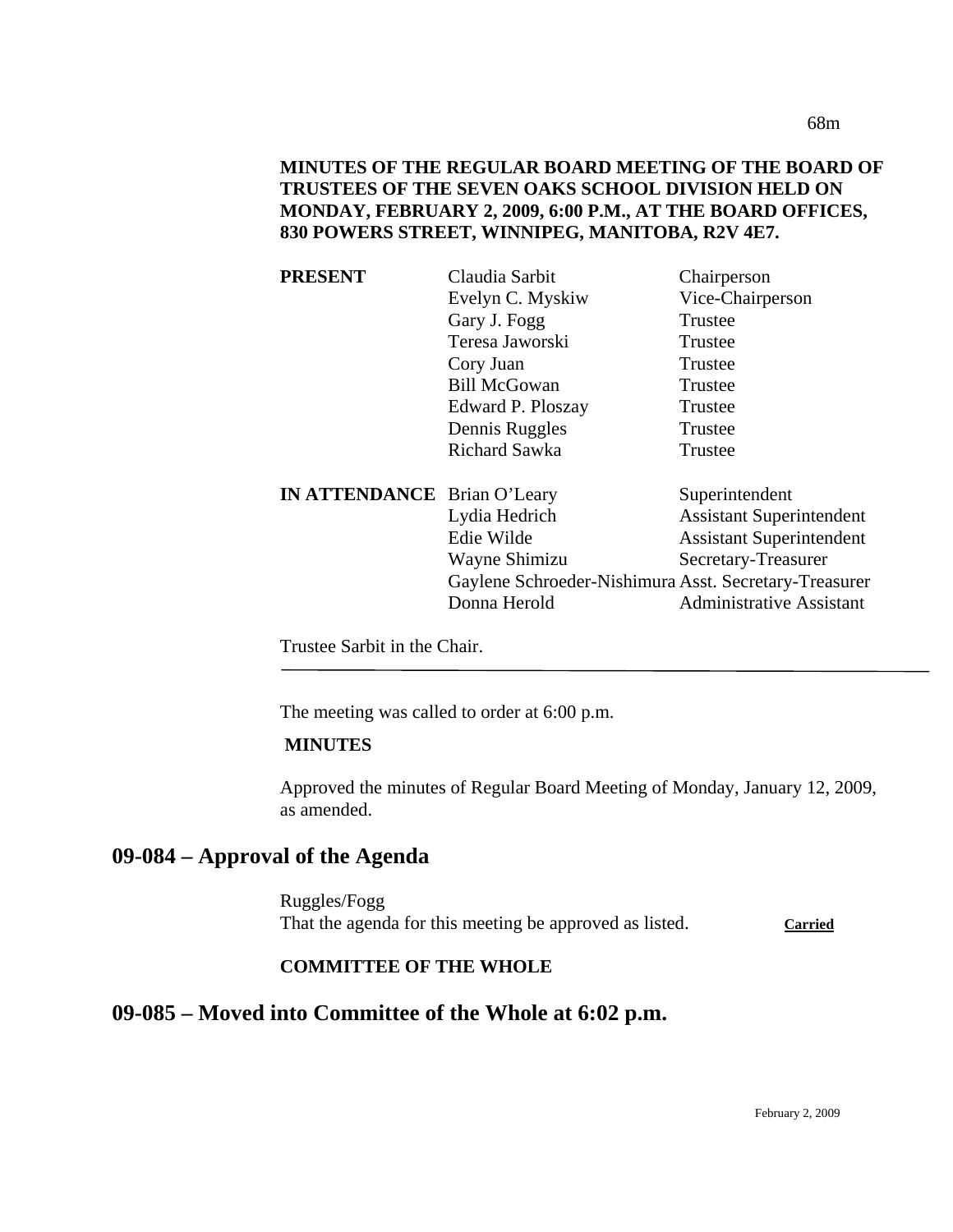68m

# **MINUTES OF THE REGULAR BOARD MEETING OF THE BOARD OF TRUSTEES OF THE SEVEN OAKS SCHOOL DIVISION HELD ON MONDAY, FEBRUARY 2, 2009, 6:00 P.M., AT THE BOARD OFFICES, 830 POWERS STREET, WINNIPEG, MANITOBA, R2V 4E7.**

| PRESENT                            | Claudia Sarbit                                        | Chairperson                     |
|------------------------------------|-------------------------------------------------------|---------------------------------|
|                                    | Evelyn C. Myskiw                                      | Vice-Chairperson                |
|                                    | Gary J. Fogg                                          | Trustee                         |
|                                    | Teresa Jaworski                                       | Trustee                         |
|                                    | Cory Juan                                             | Trustee                         |
|                                    | <b>Bill McGowan</b>                                   | Trustee                         |
|                                    | Edward P. Ploszay                                     | Trustee                         |
|                                    | Dennis Ruggles                                        | Trustee                         |
|                                    | <b>Richard Sawka</b>                                  | Trustee                         |
| <b>IN ATTENDANCE</b> Brian O'Leary |                                                       | Superintendent                  |
|                                    | Lydia Hedrich                                         | <b>Assistant Superintendent</b> |
|                                    | Edie Wilde                                            | <b>Assistant Superintendent</b> |
|                                    | Wayne Shimizu                                         | Secretary-Treasurer             |
|                                    | Gaylene Schroeder-Nishimura Asst. Secretary-Treasurer |                                 |
|                                    | Donna Herold                                          | <b>Administrative Assistant</b> |
|                                    |                                                       |                                 |

Trustee Sarbit in the Chair.

The meeting was called to order at 6:00 p.m.

#### **MINUTES**

Approved the minutes of Regular Board Meeting of Monday, January 12, 2009, as amended.

# **09-084 – Approval of the Agenda**

Ruggles/Fogg That the agenda for this meeting be approved as listed. Carried

# **COMMITTEE OF THE WHOLE**

# **09-085 – Moved into Committee of the Whole at 6:02 p.m.**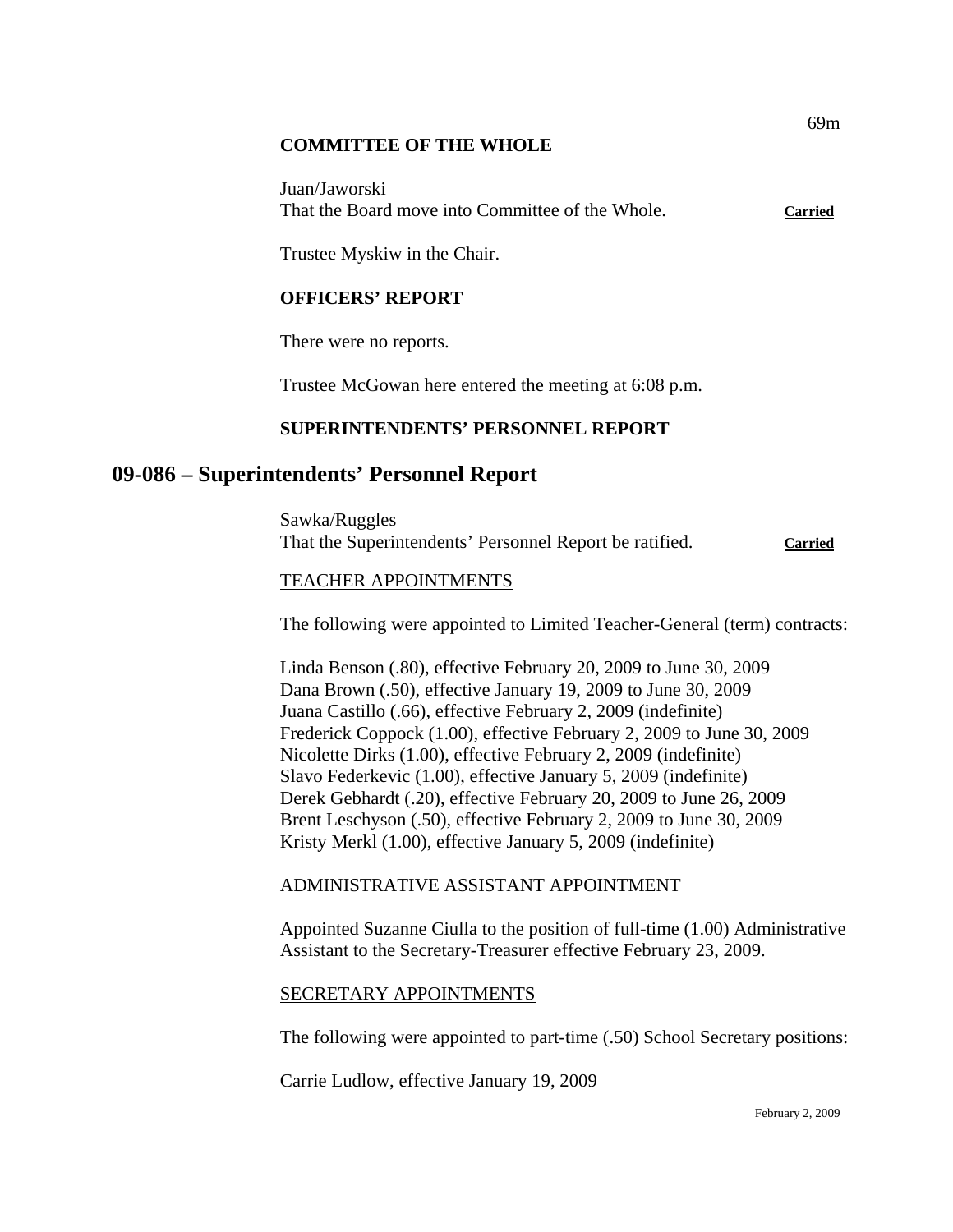### **COMMITTEE OF THE WHOLE**

Juan/Jaworski That the Board move into Committee of the Whole. **Carried**

Trustee Myskiw in the Chair.

# **OFFICERS' REPORT**

There were no reports.

Trustee McGowan here entered the meeting at 6:08 p.m.

# **SUPERINTENDENTS' PERSONNEL REPORT**

# **09-086 – Superintendents' Personnel Report**

Sawka/Ruggles That the Superintendents' Personnel Report be ratified. **Carried**

### TEACHER APPOINTMENTS

The following were appointed to Limited Teacher-General (term) contracts:

Linda Benson (.80), effective February 20, 2009 to June 30, 2009 Dana Brown (.50), effective January 19, 2009 to June 30, 2009 Juana Castillo (.66), effective February 2, 2009 (indefinite) Frederick Coppock (1.00), effective February 2, 2009 to June 30, 2009 Nicolette Dirks (1.00), effective February 2, 2009 (indefinite) Slavo Federkevic (1.00), effective January 5, 2009 (indefinite) Derek Gebhardt (.20), effective February 20, 2009 to June 26, 2009 Brent Leschyson (.50), effective February 2, 2009 to June 30, 2009 Kristy Merkl (1.00), effective January 5, 2009 (indefinite)

# ADMINISTRATIVE ASSISTANT APPOINTMENT

Appointed Suzanne Ciulla to the position of full-time (1.00) Administrative Assistant to the Secretary-Treasurer effective February 23, 2009.

# SECRETARY APPOINTMENTS

The following were appointed to part-time (.50) School Secretary positions:

Carrie Ludlow, effective January 19, 2009

69m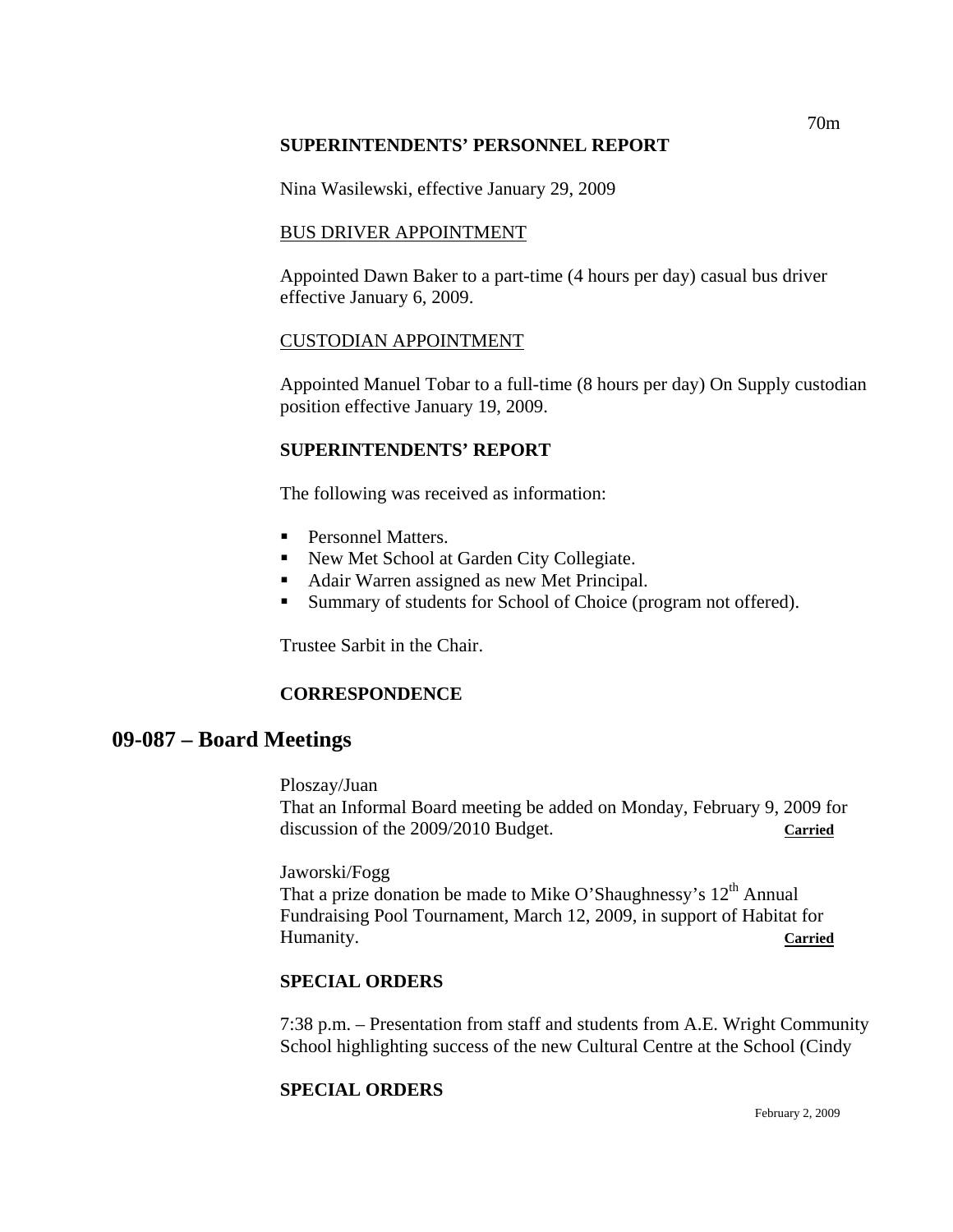### **SUPERINTENDENTS' PERSONNEL REPORT**

Nina Wasilewski, effective January 29, 2009

### BUS DRIVER APPOINTMENT

Appointed Dawn Baker to a part-time (4 hours per day) casual bus driver effective January 6, 2009.

### CUSTODIAN APPOINTMENT

Appointed Manuel Tobar to a full-time (8 hours per day) On Supply custodian position effective January 19, 2009.

# **SUPERINTENDENTS' REPORT**

The following was received as information:

- Personnel Matters.
- New Met School at Garden City Collegiate.
- Adair Warren assigned as new Met Principal.
- **Summary of students for School of Choice (program not offered).**

Trustee Sarbit in the Chair.

# **CORRESPONDENCE**

# **09-087 – Board Meetings**

#### Ploszay/Juan

That an Informal Board meeting be added on Monday, February 9, 2009 for discussion of the 2009/2010 Budget. **Carried**

Jaworski/Fogg

That a prize donation be made to Mike O'Shaughnessy's  $12<sup>th</sup>$  Annual Fundraising Pool Tournament, March 12, 2009, in support of Habitat for Humanity. **Carried**

### **SPECIAL ORDERS**

7:38 p.m. – Presentation from staff and students from A.E. Wright Community School highlighting success of the new Cultural Centre at the School (Cindy

# **SPECIAL ORDERS**

February 2, 2009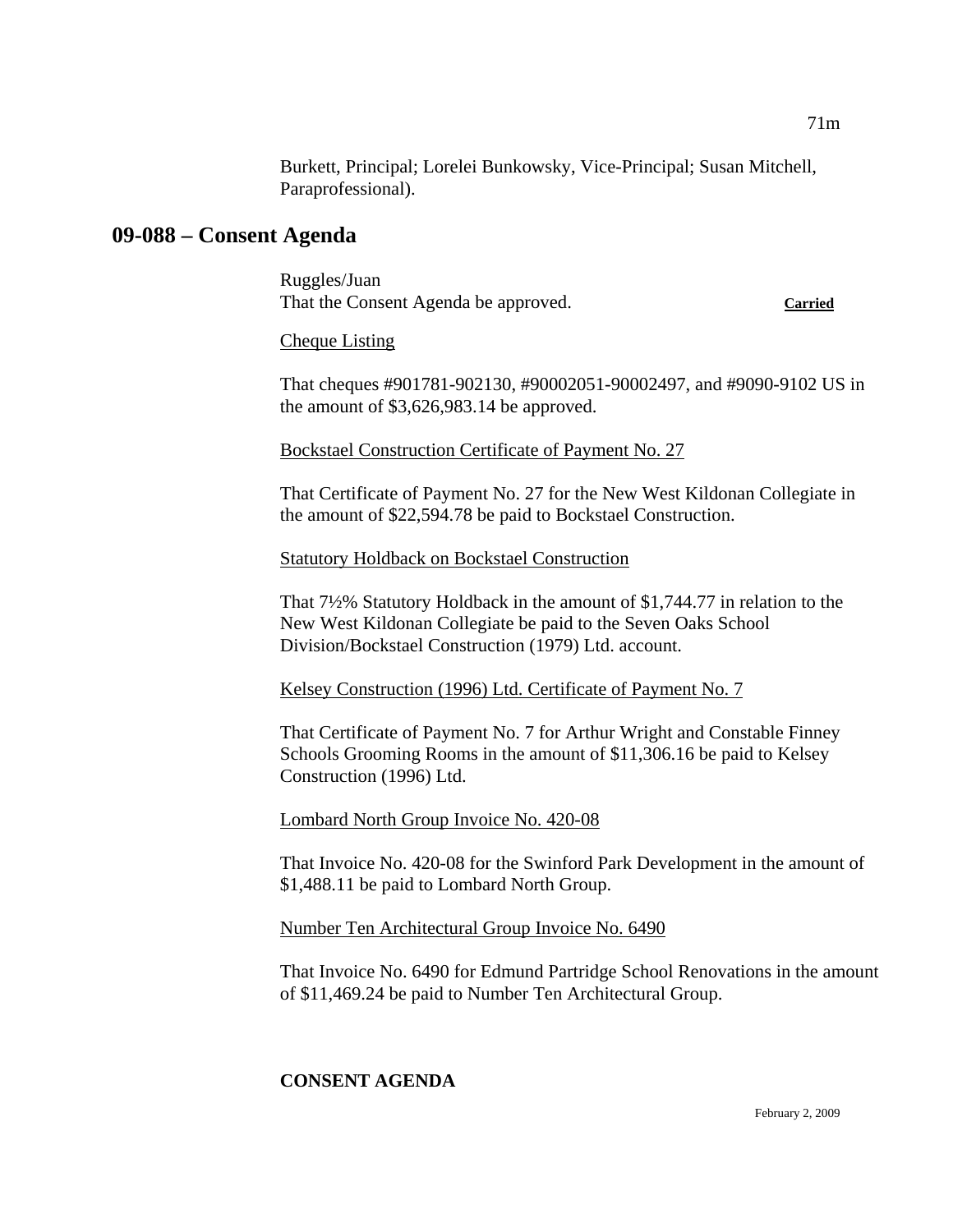Burkett, Principal; Lorelei Bunkowsky, Vice-Principal; Susan Mitchell, Paraprofessional).

# **09-088 – Consent Agenda**

Ruggles/Juan That the Consent Agenda be approved. **Carried**

### Cheque Listing

That cheques #901781-902130, #90002051-90002497, and #9090-9102 US in the amount of \$3,626,983.14 be approved.

Bockstael Construction Certificate of Payment No. 27

That Certificate of Payment No. 27 for the New West Kildonan Collegiate in the amount of \$22,594.78 be paid to Bockstael Construction.

### Statutory Holdback on Bockstael Construction

That 7½% Statutory Holdback in the amount of \$1,744.77 in relation to the New West Kildonan Collegiate be paid to the Seven Oaks School Division/Bockstael Construction (1979) Ltd. account.

Kelsey Construction (1996) Ltd. Certificate of Payment No. 7

That Certificate of Payment No. 7 for Arthur Wright and Constable Finney Schools Grooming Rooms in the amount of \$11,306.16 be paid to Kelsey Construction (1996) Ltd.

Lombard North Group Invoice No. 420-08

That Invoice No. 420-08 for the Swinford Park Development in the amount of \$1,488.11 be paid to Lombard North Group.

# Number Ten Architectural Group Invoice No. 6490

That Invoice No. 6490 for Edmund Partridge School Renovations in the amount of \$11,469.24 be paid to Number Ten Architectural Group.

# **CONSENT AGENDA**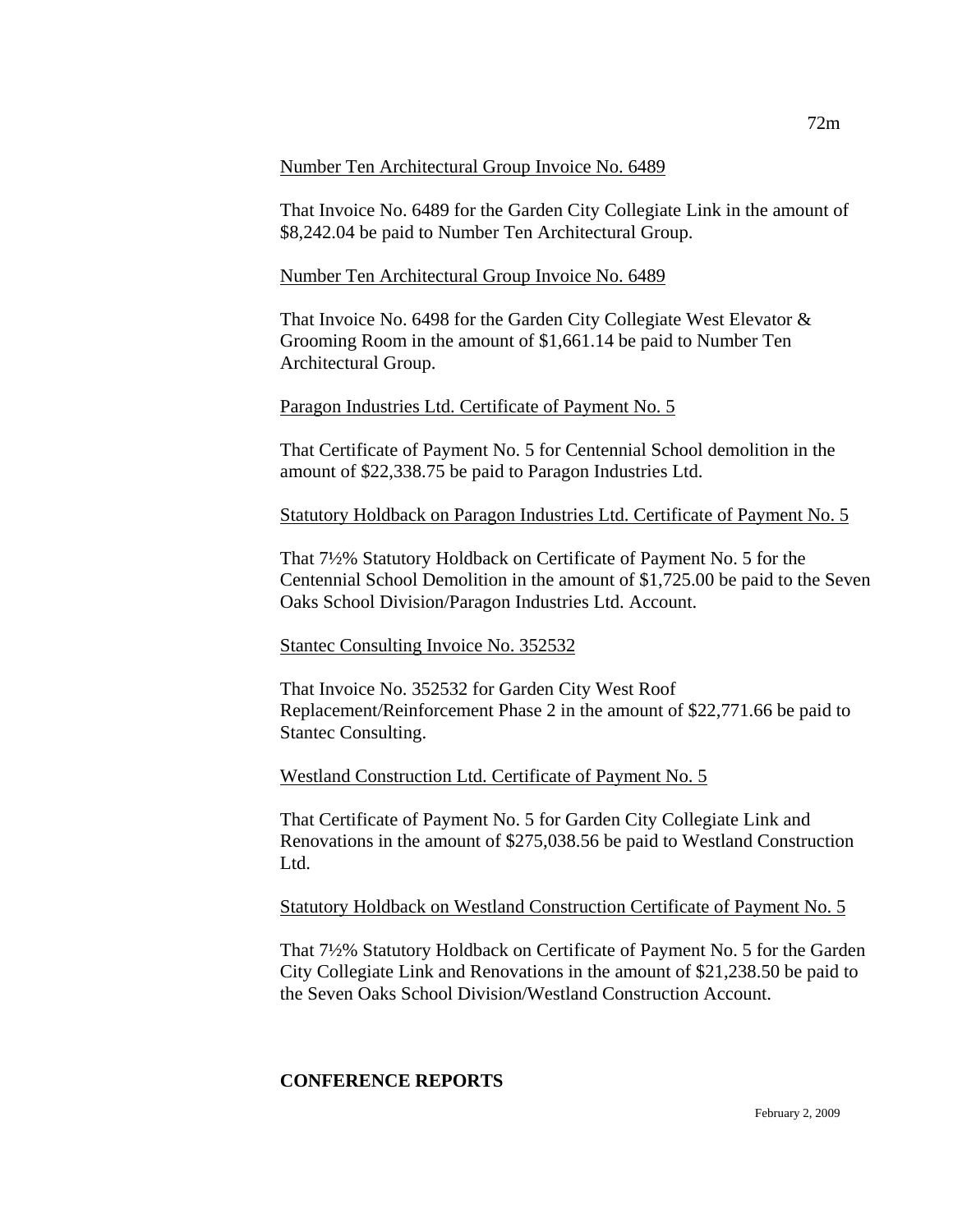#### Number Ten Architectural Group Invoice No. 6489

That Invoice No. 6489 for the Garden City Collegiate Link in the amount of \$8,242.04 be paid to Number Ten Architectural Group.

### Number Ten Architectural Group Invoice No. 6489

That Invoice No. 6498 for the Garden City Collegiate West Elevator & Grooming Room in the amount of \$1,661.14 be paid to Number Ten Architectural Group.

### Paragon Industries Ltd. Certificate of Payment No. 5

That Certificate of Payment No. 5 for Centennial School demolition in the amount of \$22,338.75 be paid to Paragon Industries Ltd.

### Statutory Holdback on Paragon Industries Ltd. Certificate of Payment No. 5

That 7½% Statutory Holdback on Certificate of Payment No. 5 for the Centennial School Demolition in the amount of \$1,725.00 be paid to the Seven Oaks School Division/Paragon Industries Ltd. Account.

### Stantec Consulting Invoice No. 352532

That Invoice No. 352532 for Garden City West Roof Replacement/Reinforcement Phase 2 in the amount of \$22,771.66 be paid to Stantec Consulting.

### Westland Construction Ltd. Certificate of Payment No. 5

That Certificate of Payment No. 5 for Garden City Collegiate Link and Renovations in the amount of \$275,038.56 be paid to Westland Construction Ltd.

### Statutory Holdback on Westland Construction Certificate of Payment No. 5

That 7½% Statutory Holdback on Certificate of Payment No. 5 for the Garden City Collegiate Link and Renovations in the amount of \$21,238.50 be paid to the Seven Oaks School Division/Westland Construction Account.

# **CONFERENCE REPORTS**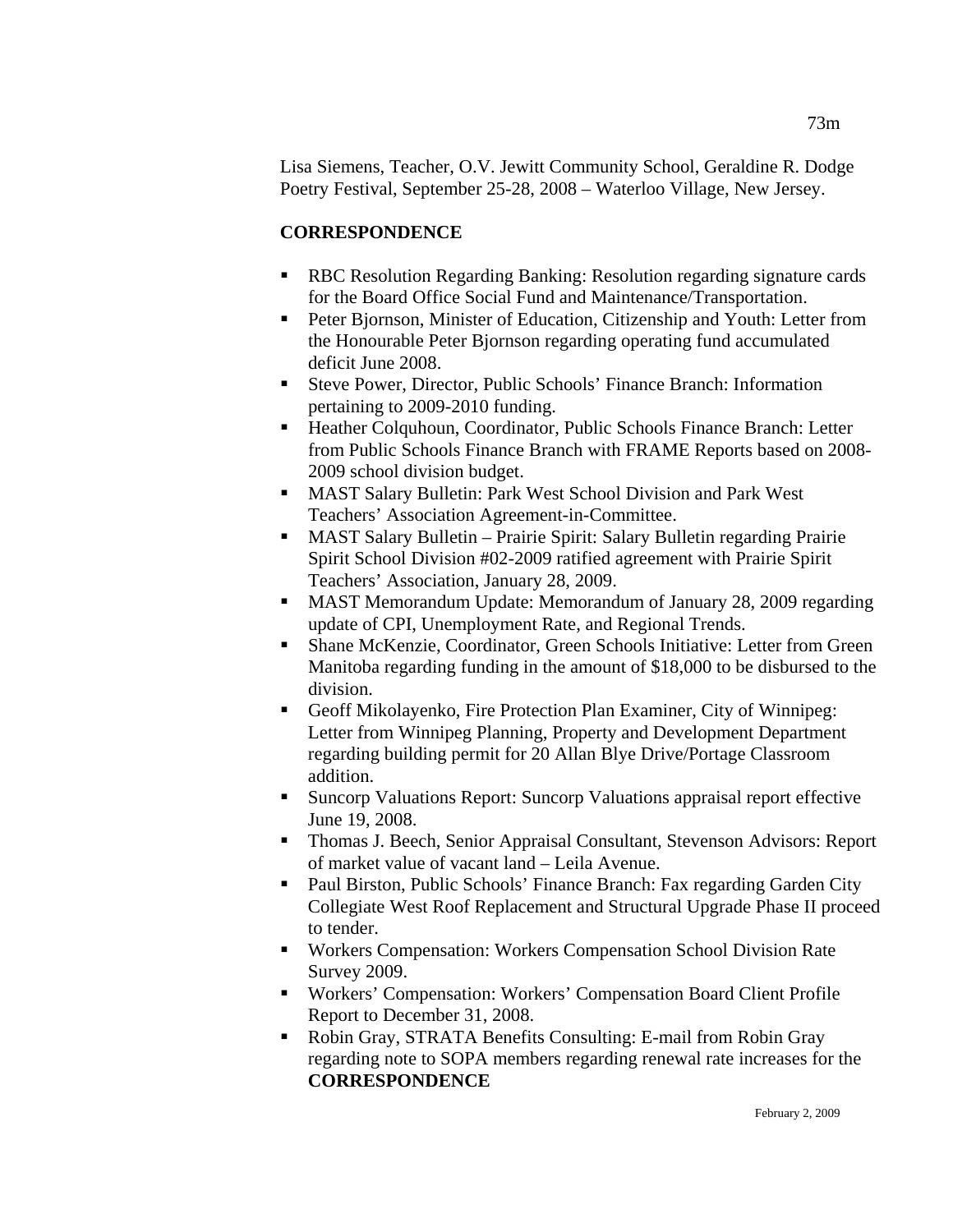Lisa Siemens, Teacher, O.V. Jewitt Community School, Geraldine R. Dodge Poetry Festival, September 25-28, 2008 – Waterloo Village, New Jersey.

# **CORRESPONDENCE**

- RBC Resolution Regarding Banking: Resolution regarding signature cards for the Board Office Social Fund and Maintenance/Transportation.
- Peter Bjornson, Minister of Education, Citizenship and Youth: Letter from the Honourable Peter Bjornson regarding operating fund accumulated deficit June 2008.
- Steve Power, Director, Public Schools' Finance Branch: Information pertaining to 2009-2010 funding.
- Heather Colquhoun, Coordinator, Public Schools Finance Branch: Letter from Public Schools Finance Branch with FRAME Reports based on 2008- 2009 school division budget.
- MAST Salary Bulletin: Park West School Division and Park West Teachers' Association Agreement-in-Committee.
- MAST Salary Bulletin Prairie Spirit: Salary Bulletin regarding Prairie Spirit School Division #02-2009 ratified agreement with Prairie Spirit Teachers' Association, January 28, 2009.
- MAST Memorandum Update: Memorandum of January 28, 2009 regarding update of CPI, Unemployment Rate, and Regional Trends.
- Shane McKenzie, Coordinator, Green Schools Initiative: Letter from Green Manitoba regarding funding in the amount of \$18,000 to be disbursed to the division.
- Geoff Mikolayenko, Fire Protection Plan Examiner, City of Winnipeg: Letter from Winnipeg Planning, Property and Development Department regarding building permit for 20 Allan Blye Drive/Portage Classroom addition.
- Suncorp Valuations Report: Suncorp Valuations appraisal report effective June 19, 2008.
- Thomas J. Beech, Senior Appraisal Consultant, Stevenson Advisors: Report of market value of vacant land – Leila Avenue.
- Paul Birston, Public Schools' Finance Branch: Fax regarding Garden City Collegiate West Roof Replacement and Structural Upgrade Phase II proceed to tender.
- Workers Compensation: Workers Compensation School Division Rate Survey 2009.
- Workers' Compensation: Workers' Compensation Board Client Profile Report to December 31, 2008.
- Robin Gray, STRATA Benefits Consulting: E-mail from Robin Gray regarding note to SOPA members regarding renewal rate increases for the **CORRESPONDENCE**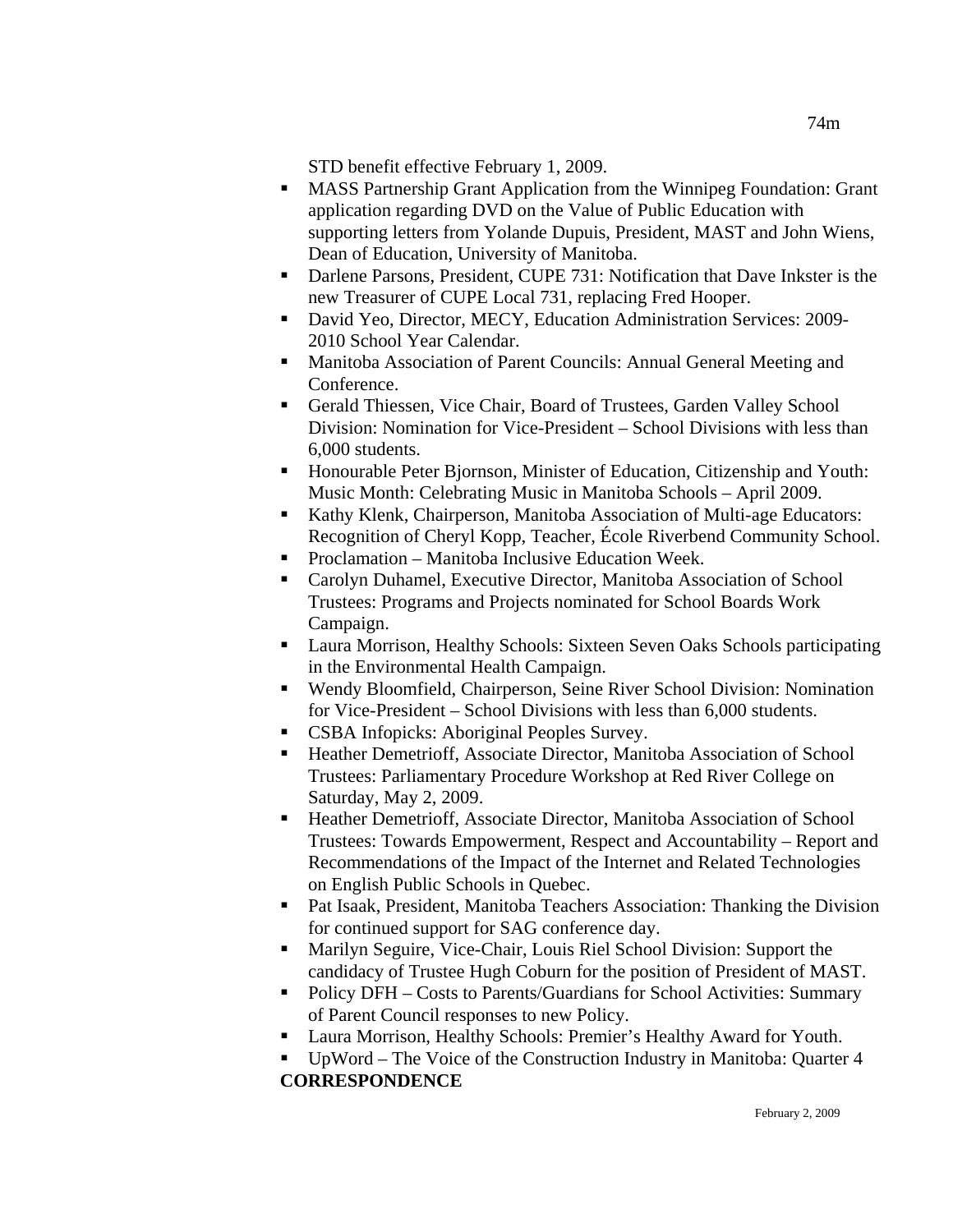STD benefit effective February 1, 2009.

- MASS Partnership Grant Application from the Winnipeg Foundation: Grant application regarding DVD on the Value of Public Education with supporting letters from Yolande Dupuis, President, MAST and John Wiens, Dean of Education, University of Manitoba.
- Darlene Parsons, President, CUPE 731: Notification that Dave Inkster is the new Treasurer of CUPE Local 731, replacing Fred Hooper.
- David Yeo, Director, MECY, Education Administration Services: 2009- 2010 School Year Calendar.
- **Manitoba Association of Parent Councils: Annual General Meeting and** Conference.
- Gerald Thiessen, Vice Chair, Board of Trustees, Garden Valley School Division: Nomination for Vice-President – School Divisions with less than 6,000 students.
- Honourable Peter Bjornson, Minister of Education, Citizenship and Youth: Music Month: Celebrating Music in Manitoba Schools – April 2009.
- Kathy Klenk, Chairperson, Manitoba Association of Multi-age Educators: Recognition of Cheryl Kopp, Teacher, École Riverbend Community School.
- Proclamation Manitoba Inclusive Education Week.
- Carolyn Duhamel, Executive Director, Manitoba Association of School Trustees: Programs and Projects nominated for School Boards Work Campaign.
- Laura Morrison, Healthy Schools: Sixteen Seven Oaks Schools participating in the Environmental Health Campaign.
- Wendy Bloomfield, Chairperson, Seine River School Division: Nomination for Vice-President – School Divisions with less than 6,000 students.
- CSBA Infopicks: Aboriginal Peoples Survey.
- Heather Demetrioff, Associate Director, Manitoba Association of School Trustees: Parliamentary Procedure Workshop at Red River College on Saturday, May 2, 2009.
- Heather Demetrioff, Associate Director, Manitoba Association of School Trustees: Towards Empowerment, Respect and Accountability – Report and Recommendations of the Impact of the Internet and Related Technologies on English Public Schools in Quebec.
- Pat Isaak, President, Manitoba Teachers Association: Thanking the Division for continued support for SAG conference day.
- Marilyn Seguire, Vice-Chair, Louis Riel School Division: Support the candidacy of Trustee Hugh Coburn for the position of President of MAST.
- Policy DFH Costs to Parents/Guardians for School Activities: Summary of Parent Council responses to new Policy.
- Laura Morrison, Healthy Schools: Premier's Healthy Award for Youth.
- UpWord The Voice of the Construction Industry in Manitoba: Quarter 4 **CORRESPONDENCE**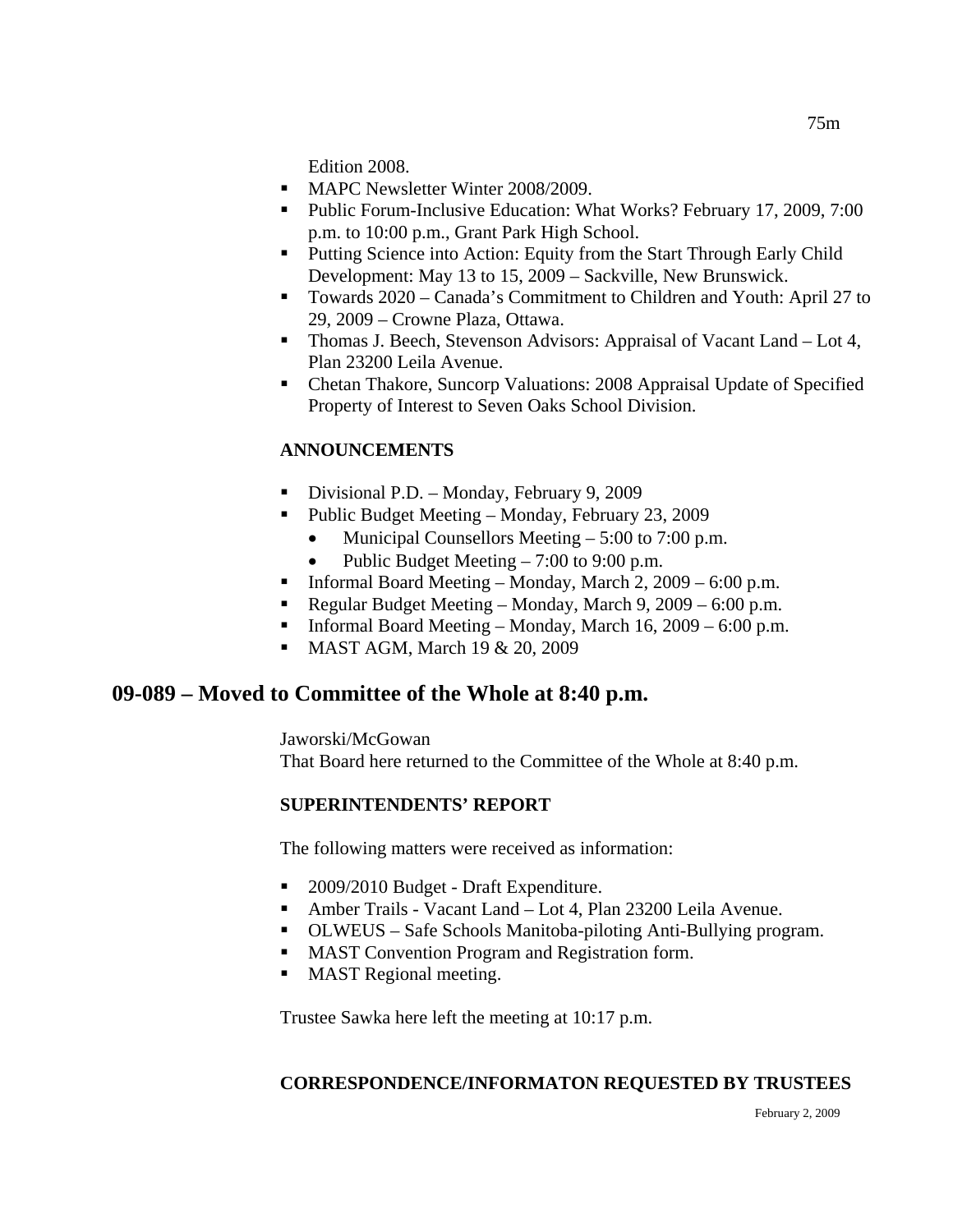Edition 2008.

- **MAPC Newsletter Winter 2008/2009.**
- Public Forum-Inclusive Education: What Works? February 17, 2009, 7:00 p.m. to 10:00 p.m., Grant Park High School.
- **Putting Science into Action: Equity from the Start Through Early Child** Development: May 13 to 15, 2009 – Sackville, New Brunswick.
- Towards 2020 Canada's Commitment to Children and Youth: April 27 to 29, 2009 – Crowne Plaza, Ottawa.
- Thomas J. Beech, Stevenson Advisors: Appraisal of Vacant Land Lot 4, Plan 23200 Leila Avenue.
- Chetan Thakore, Suncorp Valuations: 2008 Appraisal Update of Specified Property of Interest to Seven Oaks School Division.

# **ANNOUNCEMENTS**

- Divisional P.D. Monday, February 9, 2009
- Public Budget Meeting Monday, February 23, 2009
	- Municipal Counsellors Meeting  $-5:00$  to 7:00 p.m.
	- Public Budget Meeting 7:00 to 9:00 p.m.
- **Informal Board Meeting Monday, March 2, 2009 6:00 p.m.**
- Regular Budget Meeting Monday, March 9, 2009 6:00 p.m.
- **Informal Board Meeting Monday, March 16, 2009 6:00 p.m.**
- MAST AGM, March 19 & 20, 2009

# **09-089 – Moved to Committee of the Whole at 8:40 p.m.**

Jaworski/McGowan That Board here returned to the Committee of the Whole at 8:40 p.m.

# **SUPERINTENDENTS' REPORT**

The following matters were received as information:

- 2009/2010 Budget Draft Expenditure.
- Amber Trails Vacant Land Lot 4, Plan 23200 Leila Avenue.
- OLWEUS Safe Schools Manitoba-piloting Anti-Bullying program.
- **MAST Convention Program and Registration form.**
- **MAST Regional meeting.**

Trustee Sawka here left the meeting at 10:17 p.m.

### **CORRESPONDENCE/INFORMATON REQUESTED BY TRUSTEES**